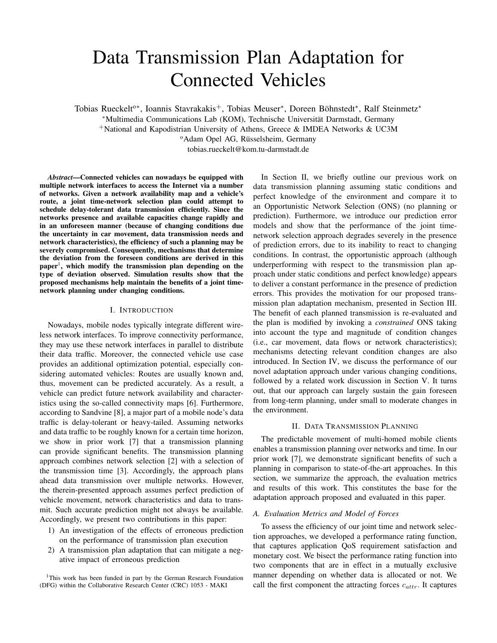# Data Transmission Plan Adaptation for Connected Vehicles

Tobias Rueckelt<sup>o\*</sup>, Ioannis Stavrakakis<sup>+</sup>, Tobias Meuser<sup>\*</sup>, Doreen Böhnstedt<sup>\*</sup>, Ralf Steinmetz<sup>\*</sup>

<sup>∗</sup>Multimedia Communications Lab (KOM), Technische Universitat Darmstadt, Germany ¨

<sup>+</sup>National and Kapodistrian University of Athens, Greece & IMDEA Networks & UC3M

<sup>o</sup>Adam Opel AG, Rüsselsheim, Germany

tobias.rueckelt@kom.tu-darmstadt.de

*Abstract*—Connected vehicles can nowadays be equipped with multiple network interfaces to access the Internet via a number of networks. Given a network availability map and a vehicle's route, a joint time-network selection plan could attempt to schedule delay-tolerant data transmission efficiently. Since the networks presence and available capacities change rapidly and in an unforeseen manner (because of changing conditions due the uncertainty in car movement, data transmission needs and network characteristics), the efficiency of such a planning may be severely compromised. Consequently, mechanisms that determine the deviation from the foreseen conditions are derived in this  $paper<sup>1</sup>$ , which modify the transmission plan depending on the type of deviation observed. Simulation results show that the proposed mechanisms help maintain the benefits of a joint timenetwork planning under changing conditions.

## I. INTRODUCTION

Nowadays, mobile nodes typically integrate different wireless network interfaces. To improve connectivity performance, they may use these network interfaces in parallel to distribute their data traffic. Moreover, the connected vehicle use case provides an additional optimization potential, especially considering automated vehicles: Routes are usually known and, thus, movement can be predicted accurately. As a result, a vehicle can predict future network availability and characteristics using the so-called connectivity maps [6]. Furthermore, according to Sandvine [8], a major part of a mobile node's data traffic is delay-tolerant or heavy-tailed. Assuming networks and data traffic to be roughly known for a certain time horizon, we show in prior work [7] that a transmission planning can provide significant benefits. The transmission planning approach combines network selection [2] with a selection of the transmission time [3]. Accordingly, the approach plans ahead data transmission over multiple networks. However, the therein-presented approach assumes perfect prediction of vehicle movement, network characteristics and data to transmit. Such accurate prediction might not always be available. Accordingly, we present two contributions in this paper:

- 1) An investigation of the effects of erroneous prediction on the performance of transmission plan execution
- 2) A transmission plan adaptation that can mitigate a negative impact of erroneous prediction

<sup>1</sup>This work has been funded in part by the German Research Foundation (DFG) within the Collaborative Research Center (CRC) 1053 - MAKI

In Section II, we briefly outline our previous work on data transmission planning assuming static conditions and perfect knowledge of the environment and compare it to an Opportunistic Network Selection (ONS) (no planning or prediction). Furthermore, we introduce our prediction error models and show that the performance of the joint timenetwork selection approach degrades severely in the presence of prediction errors, due to its inability to react to changing conditions. In contrast, the opportunistic approach (although underperforming with respect to the transmission plan approach under static conditions and perfect knowledge) appears to deliver a constant performance in the presence of prediction errors. This provides the motivation for our proposed transmission plan adaptation mechanism, presented in Section III. The benefit of each planned transmission is re-evaluated and the plan is modified by invoking a *constrained* ONS taking into account the type and magnitude of condition changes (i.e., car movement, data flows or network characteristics); mechanisms detecting relevant condition changes are also introduced. In Section IV, we discuss the performance of our novel adaptation approach under various changing conditions, followed by a related work discussion in Section V. It turns out, that our approach can largely sustain the gain foreseen from long-term planning, under small to moderate changes in the environment.

#### II. DATA TRANSMISSION PLANNING

The predictable movement of multi-homed mobile clients enables a transmission planning over networks and time. In our prior work [7], we demonstrate significant benefits of such a planning in comparison to state-of-the-art approaches. In this section, we summarize the approach, the evaluation metrics and results of this work. This constitutes the base for the adaptation approach proposed and evaluated in this paper.

#### *A. Evaluation Metrics and Model of Forces*

To assess the efficiency of our joint time and network selection approaches, we developed a performance rating function, that captures application QoS requirement satisfaction and monetary cost. We bisect the performance rating function into two components that are in effect in a mutually exclusive manner depending on whether data is allocated or not. We call the first component the attracting forces  $c_{attr}$ . It captures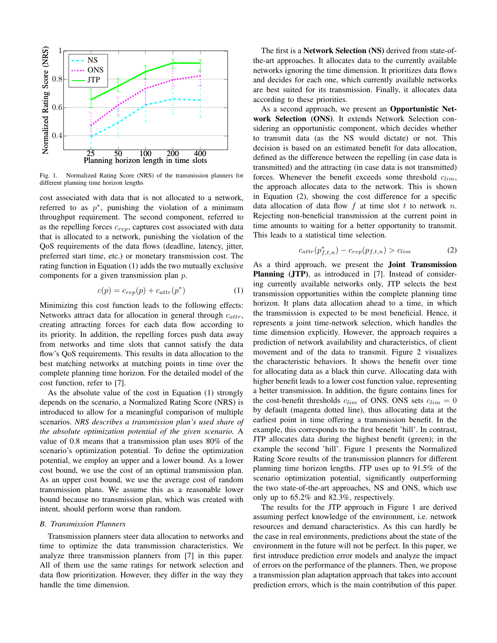

Fig. 1. Normalized Rating Score (NRS) of the transmission planners for different planning time horizon lengths

cost associated with data that is not allocated to a network, referred to as  $p^*$ , punishing the violation of a minimum throughput requirement. The second component, referred to as the repelling forces  $c_{rep}$ , captures cost associated with data that is allocated to a network, punishing the violation of the QoS requirements of the data flows (deadline, latency, jitter, preferred start time, etc.) or monetary transmission cost. The rating function in Equation (1) adds the two mutually exclusive components for a given transmission plan p.

$$
c(p) = c_{rep}(p) + c_{attr}(p^*)
$$
 (1)

Minimizing this cost function leads to the following effects: Networks attract data for allocation in general through  $c_{attr}$ , creating attracting forces for each data flow according to its priority. In addition, the repelling forces push data away from networks and time slots that cannot satisfy the data flow's OoS requirements. This results in data allocation to the best matching networks at matching points in time over the complete planning time horizon. For the detailed model of the cost function, refer to [7].

As the absolute value of the cost in Equation (1) strongly depends on the scenario, a Normalized Rating Score (NRS) is introduced to allow for a meaningful comparison of multiple scenarios. *NRS describes a transmission plan's used share of the absolute optimization potential of the given scenario.* A value of 0.8 means that a transmission plan uses 80% of the scenario's optimization potential. To define the optimization potential, we employ an upper and a lower bound. As a lower cost bound, we use the cost of an optimal transmission plan. As an upper cost bound, we use the average cost of random transmission plans. We assume this as a reasonable lower bound because no transmission plan, which was created with intent, should perform worse than random.

#### *B. Transmission Planners*

Transmission planners steer data allocation to networks and time to optimize the data transmission characteristics. We analyze three transmission planners from [7] in this paper. All of them use the same ratings for network selection and data flow prioritization. However, they differ in the way they handle the time dimension.

The first is a Network Selection (NS) derived from state-ofthe-art approaches. It allocates data to the currently available networks ignoring the time dimension. It prioritizes data flows and decides for each one, which currently available networks are best suited for its transmission. Finally, it allocates data according to these priorities.

As a second approach, we present an Opportunistic Network Selection (ONS). It extends Network Selection considering an opportunistic component, which decides whether to transmit data (as the NS would dictate) or not. This decision is based on an estimated benefit for data allocation, defined as the difference between the repelling (in case data is transmitted) and the attracting (in case data is not transmitted) forces. Whenever the benefit exceeds some threshold  $c_{lim}$ , the approach allocates data to the network. This is shown in Equation (2), showing the cost difference for a specific data allocation of data flow  $f$  at time slot  $t$  to network  $n$ . Rejecting non-beneficial transmission at the current point in time amounts to waiting for a better opportunity to transmit. This leads to a statistical time selection.

$$
c_{attr}(p_{f,t,n}^*) - c_{rep}(p_{f,t,n}) > c_{lim}
$$
 (2)

As a third approach, we present the Joint Transmission Planning (JTP), as introduced in [7]. Instead of considering currently available networks only, JTP selects the best transmission opportunities within the complete planning time horizon. It plans data allocation ahead to a time, in which the transmission is expected to be most beneficial. Hence, it represents a joint time-network selection, which handles the time dimension explicitly. However, the approach requires a prediction of network availability and characteristics, of client movement and of the data to transmit. Figure 2 visualizes the characteristic behaviors. It shows the benefit over time for allocating data as a black thin curve. Allocating data with higher benefit leads to a lower cost function value, representing a better transmission. In addition, the figure contains lines for the cost-benefit thresholds  $c_{lim}$  of ONS. ONS sets  $c_{lim} = 0$ by default (magenta dotted line), thus allocating data at the earliest point in time offering a transmission benefit. In the example, this corresponds to the first benefit 'hill'. In contrast, JTP allocates data during the highest benefit (green); in the example the second 'hill'. Figure 1 presents the Normalized Rating Score results of the transmission planners for different planning time horizon lengths. JTP uses up to 91.5% of the scenario optimization potential, significantly outperforming the two state-of-the-art approaches, NS and ONS, which use only up to 65.2% and 82.3%, respectively.

The results for the JTP approach in Figure 1 are derived assuming perfect knowledge of the environment, i.e. network resources and demand characteristics. As this can hardly be the case in real environments, predictions about the state of the environment in the future will not be perfect. In this paper, we first introduce prediction error models and analyze the impact of errors on the performance of the planners. Then, we propose a transmission plan adaptation approach that takes into account prediction errors, which is the main contribution of this paper.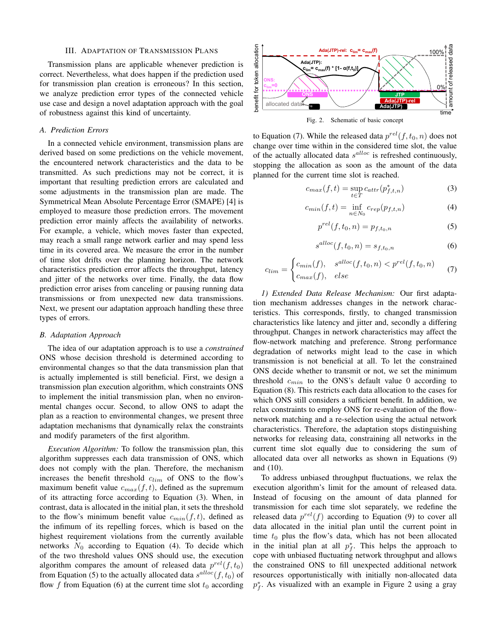## III. ADAPTATION OF TRANSMISSION PLANS

Transmission plans are applicable whenever prediction is correct. Nevertheless, what does happen if the prediction used for transmission plan creation is erroneous? In this section, we analyze prediction error types of the connected vehicle use case and design a novel adaptation approach with the goal of robustness against this kind of uncertainty.

## *A. Prediction Errors*

In a connected vehicle environment, transmission plans are derived based on some predictions on the vehicle movement, the encountered network characteristics and the data to be transmitted. As such predictions may not be correct, it is important that resulting prediction errors are calculated and some adjustments in the transmission plan are made. The Symmetrical Mean Absolute Percentage Error (SMAPE) [4] is employed to measure those prediction errors. The movement prediction error mainly affects the availability of networks. For example, a vehicle, which moves faster than expected, may reach a small range network earlier and may spend less time in its covered area. We measure the error in the number of time slot drifts over the planning horizon. The network characteristics prediction error affects the throughput, latency and jitter of the networks over time. Finally, the data flow prediction error arises from canceling or pausing running data transmissions or from unexpected new data transmissions. Next, we present our adaptation approach handling these three types of errors.

## *B. Adaptation Approach*

The idea of our adaptation approach is to use a *constrained* ONS whose decision threshold is determined according to environmental changes so that the data transmission plan that is actually implemented is still beneficial. First, we design a transmission plan execution algorithm, which constraints ONS to implement the initial transmission plan, when no environmental changes occur. Second, to allow ONS to adapt the plan as a reaction to environmental changes, we present three adaptation mechanisms that dynamically relax the constraints and modify parameters of the first algorithm.

*Execution Algorithm:* To follow the transmission plan, this algorithm suppresses each data transmission of ONS, which does not comply with the plan. Therefore, the mechanism increases the benefit threshold  $c_{lim}$  of ONS to the flow's maximum benefit value  $c_{max}(f, t)$ , defined as the supremum of its attracting force according to Equation (3). When, in contrast, data is allocated in the initial plan, it sets the threshold to the flow's minimum benefit value  $c_{min}(f, t)$ , defined as the infimum of its repelling forces, which is based on the highest requirement violations from the currently available networks  $N_0$  according to Equation (4). To decide which of the two threshold values ONS should use, the execution algorithm compares the amount of released data  $p^{rel}(f, t_0)$ from Equation (5) to the actually allocated data  $s^{alloc}(f, t_0)$  of flow f from Equation (6) at the current time slot  $t_0$  according



Fig. 2. Schematic of basic concept

to Equation (7). While the released data  $p^{rel}(f, t_0, n)$  does not change over time within in the considered time slot, the value of the actually allocated data  $s<sup>alloc</sup>$  is refreshed continuously, stopping the allocation as soon as the amount of the data planned for the current time slot is reached.

$$
c_{max}(f,t) = \sup_{t \in T} c_{attr}(p_{f,t,n}^*)
$$
\n(3)

$$
c_{min}(f,t) = \inf_{n \in N_0} c_{rep}(p_{f,t,n})
$$
\n(4)

$$
p^{rel}(f, t_0, n) = p_{f, t_0, n} \tag{5}
$$

$$
s^{alloc}(f, t_0, n) = s_{f, t_0, n}
$$
\n<sup>(6)</sup>

$$
c_{lim} = \begin{cases} c_{min}(f), & s^{alloc}(f, t_0, n) < p^{rel}(f, t_0, n) \\ c_{max}(f), & else \end{cases}
$$
(7)

*1) Extended Data Release Mechanism:* Our first adaptation mechanism addresses changes in the network characteristics. This corresponds, firstly, to changed transmission characteristics like latency and jitter and, secondly a differing throughput. Changes in network characteristics may affect the flow-network matching and preference. Strong performance degradation of networks might lead to the case in which transmission is not beneficial at all. To let the constrained ONS decide whether to transmit or not, we set the minimum threshold  $c_{min}$  to the ONS's default value 0 according to Equation (8). This restricts each data allocation to the cases for which ONS still considers a sufficient benefit. In addition, we relax constraints to employ ONS for re-evaluation of the flownetwork matching and a re-selection using the actual network characteristics. Therefore, the adaptation stops distinguishing networks for releasing data, constraining all networks in the current time slot equally due to considering the sum of allocated data over all networks as shown in Equations (9) and (10).

To address unbiased throughput fluctuations, we relax the execution algorithm's limit for the amount of released data. Instead of focusing on the amount of data planned for transmission for each time slot separately, we redefine the released data  $p^{rel}(f)$  according to Equation (9) to cover all data allocated in the initial plan until the current point in time  $t_0$  plus the flow's data, which has not been allocated in the initial plan at all  $p_f^*$ . This helps the approach to cope with unbiased fluctuating network throughput and allows the constrained ONS to fill unexpected additional network resources opportunistically with initially non-allocated data  $p_f^*$ . As visualized with an example in Figure 2 using a gray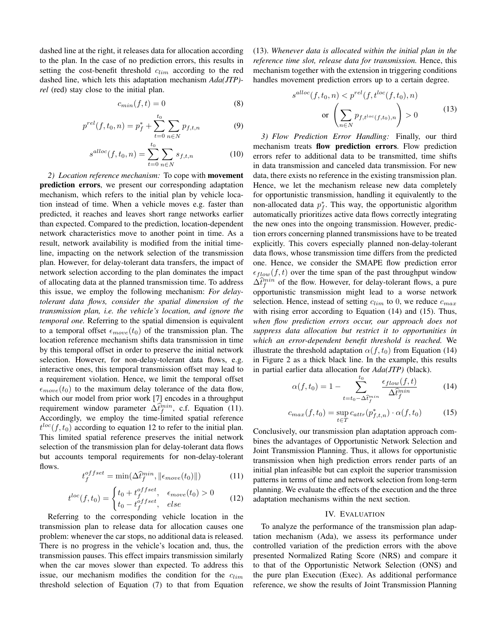dashed line at the right, it releases data for allocation according to the plan. In the case of no prediction errors, this results in setting the cost-benefit threshold  $c_{lim}$  according to the red dashed line, which lets this adaptation mechanism *Ada(JTP) rel* (red) stay close to the initial plan.

$$
c_{min}(f, t) = 0 \tag{8}
$$

$$
p^{rel}(f, t_0, n) = p_f^* + \sum_{t=0}^{t_0} \sum_{n \in N} p_{f, t, n}
$$
 (9)

$$
s^{alloc}(f, t_0, n) = \sum_{t=0}^{t_0} \sum_{n \in N} s_{f, t, n}
$$
 (10)

*2) Location reference mechanism:* To cope with movement prediction errors, we present our corresponding adaptation mechanism, which refers to the initial plan by vehicle location instead of time. When a vehicle moves e.g. faster than predicted, it reaches and leaves short range networks earlier than expected. Compared to the prediction, location-dependent network characteristics move to another point in time. As a result, network availability is modified from the initial timeline, impacting on the network selection of the transmission plan. However, for delay-tolerant data transfers, the impact of network selection according to the plan dominates the impact of allocating data at the planned transmission time. To address this issue, we employ the following mechanism: *For delaytolerant data flows, consider the spatial dimension of the transmission plan, i.e. the vehicle's location, and ignore the temporal one.* Referring to the spatial dimension is equivalent to a temporal offset  $\epsilon_{move}(t_0)$  of the transmission plan. The location reference mechanism shifts data transmission in time by this temporal offset in order to preserve the initial network selection. However, for non-delay-tolerant data flows, e.g. interactive ones, this temporal transmission offset may lead to a requirement violation. Hence, we limit the temporal offset  $\epsilon_{move}(t_0)$  to the maximum delay tolerance of the data flow, which our model from prior work [7] encodes in a throughput requirement window parameter  $\Delta \hat{t}_f^{min}$ , c.f. Equation (11). Accordingly, we employ the time-limited spatial reference  $t^{loc}(f, t_0)$  according to equation 12 to refer to the initial plan. This limited spatial reference preserves the initial network selection of the transmission plan for delay-tolerant data flows but accounts temporal requirements for non-delay-tolerant flows.

$$
t_f^{offset} = \min(\Delta \hat{t}_f^{min}, \|\epsilon_{move}(t_0)\|)
$$
 (11)

$$
t^{loc}(f,t_0) = \begin{cases} t_0 + t_f^{offset}, & \epsilon_{move}(t_0) > 0\\ t_0 - t_f^{offset}, & else \end{cases}
$$
(12)

Referring to the corresponding vehicle location in the transmission plan to release data for allocation causes one problem: whenever the car stops, no additional data is released. There is no progress in the vehicle's location and, thus, the transmission pauses. This effect impairs transmission similarly when the car moves slower than expected. To address this issue, our mechanism modifies the condition for the  $c_{lim}$ threshold selection of Equation (7) to that from Equation (13). *Whenever data is allocated within the initial plan in the reference time slot, release data for transmission.* Hence, this mechanism together with the extension in triggering conditions handles movement prediction errors up to a certain degree.

$$
s^{alloc}(f, t_0, n) < p^{rel}(f, t^{loc}(f, t_0), n)
$$
\n
$$
\text{or } \left(\sum_{n \in N} p_{f, t^{loc}(f, t_0), n}\right) > 0 \tag{13}
$$

*3) Flow Prediction Error Handling:* Finally, our third mechanism treats flow prediction errors. Flow prediction errors refer to additional data to be transmitted, time shifts in data transmission and canceled data transmission. For new data, there exists no reference in the existing transmission plan. Hence, we let the mechanism release new data completely for opportunistic transmission, handling it equivalently to the non-allocated data  $p_f^*$ . This way, the opportunistic algorithm automatically prioritizes active data flows correctly integrating the new ones into the ongoing transmission. However, prediction errors concerning planned transmissions have to be treated explicitly. This covers especially planned non-delay-tolerant data flows, whose transmission time differs from the predicted one. Hence, we consider the SMAPE flow prediction error  $\epsilon_{flow}(f, t)$  over the time span of the past throughput window  $\Delta \hat{t}_f^{min}$  of the flow. However, for delay-tolerant flows, a pure opportunistic transmission might lead to a worse network selection. Hence, instead of setting  $c_{lim}$  to 0, we reduce  $c_{max}$ with rising error according to Equation (14) and (15). Thus, *when flow prediction errors occur, our approach does not suppress data allocation but restrict it to opportunities in which an error-dependent benefit threshold is reached.* We illustrate the threshold adaptation  $\alpha(f, t_0)$  from Equation (14) in Figure 2 as a thick black line. In the example, this results in partial earlier data allocation for *Ada(JTP)* (black).

$$
\alpha(f, t_0) = 1 - \sum_{t=t_0 - \Delta \hat{t}_f^{min}}^{t_0} \frac{\epsilon_{flow}(f, t)}{\Delta \hat{t}_f^{min}} \tag{14}
$$

$$
c_{max}(f, t_0) = \sup_{t \in T} c_{attr}(p_{f,t,n}^*) \cdot \alpha(f, t_0)
$$
 (15)

Conclusively, our transmission plan adaptation approach combines the advantages of Opportunistic Network Selection and Joint Transmission Planning. Thus, it allows for opportunistic transmission when high prediction errors render parts of an initial plan infeasible but can exploit the superior transmission patterns in terms of time and network selection from long-term planning. We evaluate the effects of the execution and the three adaptation mechanisms within the next section.

## IV. EVALUATION

To analyze the performance of the transmission plan adaptation mechanism (Ada), we assess its performance under controlled variation of the prediction errors with the above presented Normalized Rating Score (NRS) and compare it to that of the Opportunistic Network Selection (ONS) and the pure plan Execution (Exec). As additional performance reference, we show the results of Joint Transmission Planning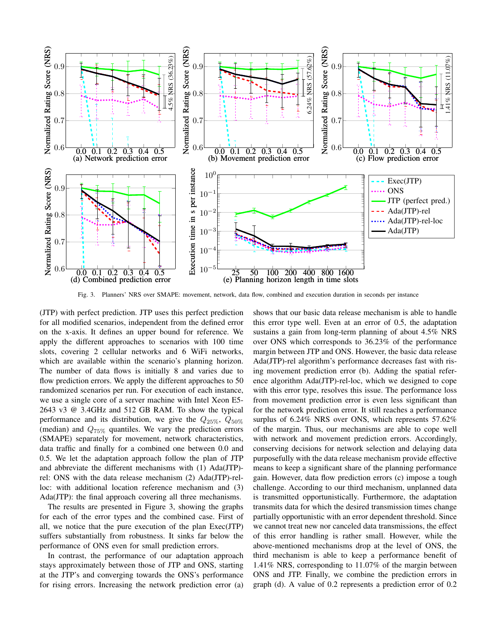

Fig. 3. Planners' NRS over SMAPE: movement, network, data flow, combined and execution duration in seconds per instance

(JTP) with perfect prediction. JTP uses this perfect prediction for all modified scenarios, independent from the defined error on the x-axis. It defines an upper bound for reference. We apply the different approaches to scenarios with 100 time slots, covering 2 cellular networks and 6 WiFi networks, which are available within the scenario's planning horizon. The number of data flows is initially 8 and varies due to flow prediction errors. We apply the different approaches to 50 randomized scenarios per run. For execution of each instance, we use a single core of a server machine with Intel Xeon E5- 2643 v3 @ 3.4GHz and 512 GB RAM. To show the typical performance and its distribution, we give the  $Q_{25\%}, Q_{50\%}$ (median) and  $Q_{75\%}$  quantiles. We vary the prediction errors (SMAPE) separately for movement, network characteristics, data traffic and finally for a combined one between 0.0 and 0.5. We let the adaptation approach follow the plan of JTP and abbreviate the different mechanisms with (1) Ada(JTP) rel: ONS with the data release mechanism (2) Ada(JTP)-relloc: with additional location reference mechanism and (3) Ada(JTP): the final approach covering all three mechanisms.

The results are presented in Figure 3, showing the graphs for each of the error types and the combined case. First of all, we notice that the pure execution of the plan Exec(JTP) suffers substantially from robustness. It sinks far below the performance of ONS even for small prediction errors.

In contrast, the performance of our adaptation approach stays approximately between those of JTP and ONS, starting at the JTP's and converging towards the ONS's performance for rising errors. Increasing the network prediction error (a) shows that our basic data release mechanism is able to handle this error type well. Even at an error of 0.5, the adaptation sustains a gain from long-term planning of about 4.5% NRS over ONS which corresponds to 36.23% of the performance margin between JTP and ONS. However, the basic data release Ada(JTP)-rel algorithm's performance decreases fast with rising movement prediction error (b). Adding the spatial reference algorithm Ada(JTP)-rel-loc, which we designed to cope with this error type, resolves this issue. The performance loss from movement prediction error is even less significant than for the network prediction error. It still reaches a performance surplus of 6.24% NRS over ONS, which represents 57.62% of the margin. Thus, our mechanisms are able to cope well with network and movement prediction errors. Accordingly, conserving decisions for network selection and delaying data purposefully with the data release mechanism provide effective means to keep a significant share of the planning performance gain. However, data flow prediction errors (c) impose a tough challenge. According to our third mechanism, unplanned data is transmitted opportunistically. Furthermore, the adaptation transmits data for which the desired transmission times change partially opportunistic with an error dependent threshold. Since we cannot treat new nor canceled data transmissions, the effect of this error handling is rather small. However, while the above-mentioned mechanisms drop at the level of ONS, the third mechanism is able to keep a performance benefit of 1.41% NRS, corresponding to 11.07% of the margin between ONS and JTP. Finally, we combine the prediction errors in graph (d). A value of 0.2 represents a prediction error of 0.2